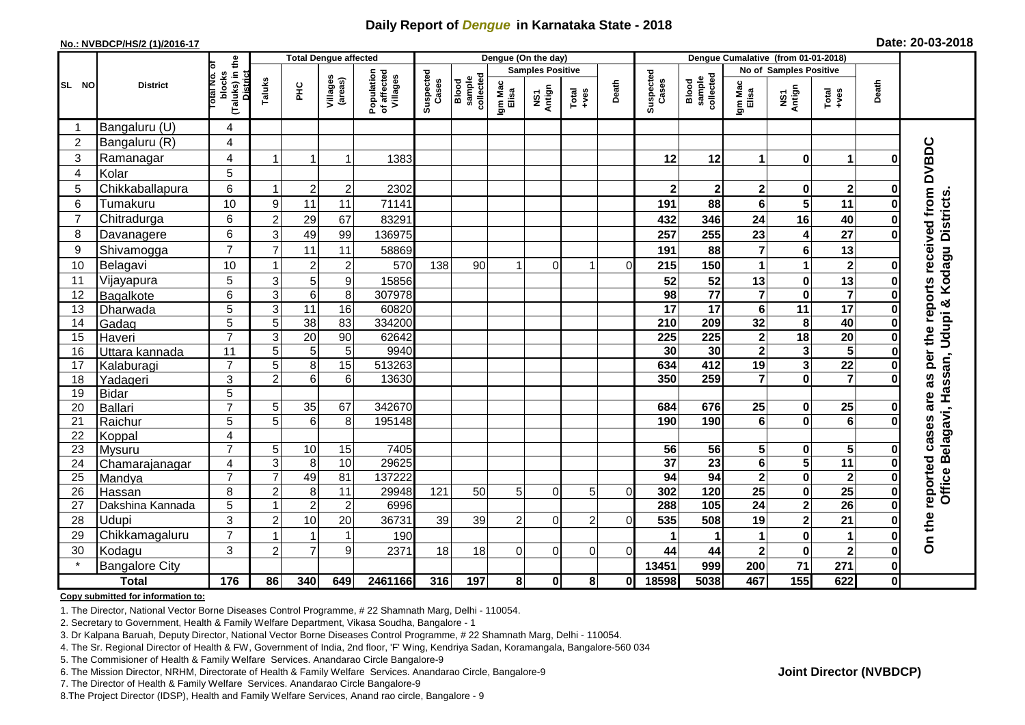## **Daily Report of** *Dengue* **in Karnataka State - 2018**

#### **No.: NVBDCP/HS/2 (1)/2016-17**

| Date: 20-03-2018 |  |  |  |
|------------------|--|--|--|
|------------------|--|--|--|

|                |                       |                                                   | <b>Total Dengue affected</b> |                 |                     |                                       |                    |                              |                  | Dengue (On the day)     |                  |          | Dengue Cumalative (from 01-01-2018) |                                     |                         |                         |                         |              |                                                    |
|----------------|-----------------------|---------------------------------------------------|------------------------------|-----------------|---------------------|---------------------------------------|--------------------|------------------------------|------------------|-------------------------|------------------|----------|-------------------------------------|-------------------------------------|-------------------------|-------------------------|-------------------------|--------------|----------------------------------------------------|
|                |                       | ৳                                                 |                              |                 |                     |                                       |                    |                              |                  | <b>Samples Positive</b> |                  |          |                                     |                                     | No of Samples Positive  |                         |                         |              |                                                    |
| SL NO          | <b>District</b>       | (Taluks) in the<br>District<br>blocks<br>otal No. | Taluks                       | FЮ              | Villages<br>(areas) | Population<br>of affected<br>Villages | Suspected<br>Cases | sample<br>collected<br>Blood | Igm Mac<br>Elisa | NS1<br>Antign           | Total<br>$+ve$ s | Death    | Suspected<br>Cases                  | collected<br><b>Blood</b><br>sample | Igm Mac<br>Elisa        | NS1<br>Antign           | Total<br>+ves           | Death        |                                                    |
| -1             | Bangaluru (U)         | 4                                                 |                              |                 |                     |                                       |                    |                              |                  |                         |                  |          |                                     |                                     |                         |                         |                         |              |                                                    |
| $\overline{2}$ | Bangaluru (R)         | 4                                                 |                              |                 |                     |                                       |                    |                              |                  |                         |                  |          |                                     |                                     |                         |                         |                         |              |                                                    |
| 3              | Ramanagar             | 4                                                 | -1                           | 1               | 1                   | 1383                                  |                    |                              |                  |                         |                  |          | 12                                  | 12                                  | 1                       | $\bf{0}$                | $\mathbf{1}$            | Ω            | per the reports received from DVBDC                |
| 4              | Kolar                 | 5                                                 |                              |                 |                     |                                       |                    |                              |                  |                         |                  |          |                                     |                                     |                         |                         |                         |              |                                                    |
| 5              | Chikkaballapura       | 6                                                 | $\overline{1}$               | $\overline{2}$  | $\overline{c}$      | 2302                                  |                    |                              |                  |                         |                  |          | $\mathbf{2}$                        | $\mathbf{2}$                        | $\mathbf 2$             | $\pmb{0}$               | $\overline{\mathbf{2}}$ | O            |                                                    |
| 6              | Tumakuru              | 10                                                | 9                            | 11              | 11                  | 71141                                 |                    |                              |                  |                         |                  |          | 191                                 | 88                                  | 6                       | $\overline{\mathbf{5}}$ | 11                      |              |                                                    |
| $\overline{7}$ | Chitradurga           | 6                                                 | $\overline{c}$               | 29              | 67                  | 83291                                 |                    |                              |                  |                         |                  |          | 432                                 | 346                                 | 24                      | 16                      | 40                      |              |                                                    |
| 8              | Davanagere            | 6                                                 | 3                            | 49              | 99                  | 136975                                |                    |                              |                  |                         |                  |          | 257                                 | 255                                 | 23                      | 4                       | $\overline{27}$         | O            |                                                    |
| 9              | Shivamogga            | $\overline{7}$                                    | $\overline{7}$               | 11              | 11                  | 58869                                 |                    |                              |                  |                         |                  |          | 191                                 | 88                                  | $\overline{7}$          | $\bf 6$                 | 13                      |              |                                                    |
| 10             | Belagavi              | 10                                                |                              | $\overline{2}$  | $\overline{c}$      | 570                                   | 138                | 90                           |                  | $\overline{0}$          | 1                | $\Omega$ | 215                                 | 150                                 | 1                       | 1                       | $\mathbf{2}$            |              | Office Belagavi, Hassan, Udupi & Kodagu Districts. |
| 11             | Vijayapura            | 5                                                 | $\mathsf 3$                  | $\overline{5}$  | 9                   | 15856                                 |                    |                              |                  |                         |                  |          | 52                                  | 52                                  | 13                      | $\pmb{0}$               | $\overline{13}$         |              |                                                    |
| 12             | Bagalkote             | 6                                                 | $\ensuremath{\mathsf{3}}$    | $\overline{6}$  | 8                   | 307978                                |                    |                              |                  |                         |                  |          | 98                                  | $\overline{77}$                     | $\overline{7}$          | $\pmb{0}$               | $\overline{\mathbf{7}}$ | 0            |                                                    |
| 13             | Dharwada              | 5                                                 | $\overline{3}$               | 11              | 16                  | 60820                                 |                    |                              |                  |                         |                  |          | $\overline{17}$                     | 17                                  | 6                       | $\overline{11}$         | $\overline{17}$         |              |                                                    |
| 14             | Gadag                 | 5                                                 | 5                            | 38              | 83                  | 334200                                |                    |                              |                  |                         |                  |          | 210                                 | 209                                 | 32                      | 8                       | 40                      |              |                                                    |
| 15             | Haveri                | $\overline{7}$                                    | 3                            | $\overline{20}$ | 90                  | 62642                                 |                    |                              |                  |                         |                  |          | 225                                 | $\overline{225}$                    | $\mathbf 2$             | 18                      | $\overline{20}$         | 0            |                                                    |
| 16             | Uttara kannada        | 11                                                | $\overline{5}$               | $\overline{5}$  | 5                   | 9940                                  |                    |                              |                  |                         |                  |          | $\overline{30}$                     | 30                                  | $\overline{\mathbf{2}}$ | 3                       | $\overline{\mathbf{5}}$ |              |                                                    |
| 17             | Kalaburagi            | $\overline{7}$                                    | 5                            | $\overline{8}$  | 15                  | 513263                                |                    |                              |                  |                         |                  |          | 634                                 | 412                                 | 19                      | 3                       | $\overline{22}$         |              |                                                    |
| 18             | Yadageri              | 3                                                 | $\overline{2}$               | 6               | 6                   | 13630                                 |                    |                              |                  |                         |                  |          | 350                                 | 259                                 | $\overline{\mathbf{r}}$ | $\mathbf 0$             | $\overline{7}$          |              | 3g                                                 |
| 19             | <b>Bidar</b>          | 5                                                 |                              |                 |                     |                                       |                    |                              |                  |                         |                  |          |                                     |                                     |                         |                         |                         |              | are                                                |
| 20             | <b>Ballari</b>        | $\overline{7}$                                    | 5                            | 35              | 67                  | 342670                                |                    |                              |                  |                         |                  |          | 684                                 | 676                                 | 25                      | $\pmb{0}$               | 25                      |              |                                                    |
| 21             | Raichur               | 5                                                 | 5                            | 6               | 8                   | 195148                                |                    |                              |                  |                         |                  |          | 190                                 | 190                                 | 6                       | $\mathbf 0$             | $\overline{6}$          |              |                                                    |
| 22             | Koppal                | $\overline{\mathbf{4}}$                           |                              |                 |                     |                                       |                    |                              |                  |                         |                  |          |                                     |                                     |                         |                         |                         |              |                                                    |
| 23             | Mysuru                | $\overline{7}$                                    | 5                            | 10              | 15                  | 7405                                  |                    |                              |                  |                         |                  |          | 56                                  | 56                                  | 5                       | 0                       | ${\bf 5}$               |              |                                                    |
| 24             | Chamarajanagar        | $\overline{4}$                                    | 3                            | 8               | 10                  | 29625                                 |                    |                              |                  |                         |                  |          | $\overline{37}$                     | $\overline{23}$                     | $6\phantom{1}$          | $\overline{\mathbf{5}}$ | $\overline{11}$         | 0            | reported cases                                     |
| 25             | Mandya                | $\overline{7}$                                    | $\overline{7}$               | 49              | 81                  | 137222                                |                    |                              |                  |                         |                  |          | 94                                  | 94                                  | $\overline{\mathbf{2}}$ | $\pmb{0}$               | $\overline{\mathbf{2}}$ | 0            |                                                    |
| 26             | Hassan                | 8                                                 | $\overline{2}$               | 8               | 11                  | 29948                                 | 121                | 50                           | 5                | $\Omega$                | 5                | $\Omega$ | 302                                 | $\frac{1}{120}$                     | $\overline{25}$         | $\pmb{0}$               | $\overline{25}$         | 0            |                                                    |
| 27             | Dakshina Kannada      | 5                                                 | 1                            | $\overline{2}$  | $\overline{c}$      | 6996                                  |                    |                              |                  |                         |                  |          | 288                                 | 105                                 | $\overline{24}$         | $\overline{\mathbf{2}}$ | 26                      | 0            |                                                    |
| 28             | Udupi                 | 3                                                 | $\overline{2}$               | 10              | 20                  | 36731                                 | 39                 | 39                           | $\overline{2}$   | $\Omega$                | $\overline{2}$   | $\Omega$ | 535                                 | 508                                 | 19                      | $\overline{\mathbf{c}}$ | 21                      | በ            |                                                    |
| 29             | Chikkamagaluru        | $\overline{7}$                                    |                              |                 | $\mathbf{1}$        | 190                                   |                    |                              |                  |                         |                  |          |                                     |                                     | 1                       | $\pmb{0}$               | $\blacktriangleleft$    | Ω            | On the                                             |
| 30             | Kodagu                | 3                                                 | $\overline{2}$               | $\overline{7}$  | 9                   | 2371                                  | 18                 | 18                           | $\Omega$         | $\Omega$                | 0                | $\Omega$ | 44                                  | 44                                  | $\mathbf 2$             | $\pmb{0}$               | $\mathbf 2$             | Ω            |                                                    |
|                | <b>Bangalore City</b> |                                                   |                              |                 |                     |                                       |                    |                              |                  |                         |                  |          | 13451                               | 999                                 | 200                     | $\overline{71}$         | 271                     | 0            |                                                    |
|                | <b>Total</b>          | 176                                               | 86                           | 340             | 649                 | 2461166                               | 316                | 197                          | 8                | $\bf{0}$                | 8                | O        | 18598                               | 5038                                | 467                     | $\frac{1}{155}$         | 622                     | $\mathbf{0}$ |                                                    |

#### **Copy submitted for information to:**

1. The Director, National Vector Borne Diseases Control Programme, # 22 Shamnath Marg, Delhi - 110054.

2. Secretary to Government, Health & Family Welfare Department, Vikasa Soudha, Bangalore - 1

3. Dr Kalpana Baruah, Deputy Director, National Vector Borne Diseases Control Programme, # 22 Shamnath Marg, Delhi - 110054.

- 4. The Sr. Regional Director of Health & FW, Government of India, 2nd floor, 'F' Wing, Kendriya Sadan, Koramangala, Bangalore-560 034
- 5. The Commisioner of Health & Family Welfare Services. Anandarao Circle Bangalore-9
- 6. The Mission Director, NRHM, Directorate of Health & Family Welfare Services. Anandarao Circle, Bangalore-9

7. The Director of Health & Family Welfare Services. Anandarao Circle Bangalore-9

8. The Project Director (IDSP), Health and Family Welfare Services, Anand rao circle, Bangalore - 9